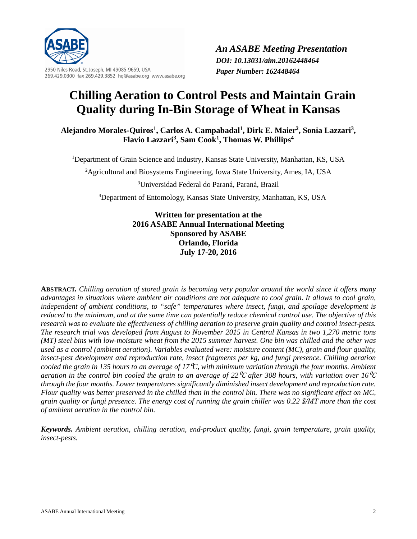

2950 Niles Road, St. Joseph, MI 49085-9659, USA 269.429.0300 fax 269.429.3852 hq@asabe.org www.asabe.org

# *An ASABE Meeting Presentation DOI: 10.13031/aim.20162448464 Paper Number: 162448464*

# **Chilling Aeration to Control Pests and Maintain Grain Quality during In-Bin Storage of Wheat in Kansas**

**Alejandro Morales-Quiros1, Carlos A. Campabadal1, Dirk E. Maier2, Sonia Lazzari3, Flavio Lazzari3, Sam Cook1, Thomas W. Phillips4**

<sup>1</sup>Department of Grain Science and Industry, Kansas State University, Manhattan, KS, USA

<sup>2</sup>Agricultural and Biosystems Engineering, Iowa State University, Ames, IA, USA

3 Universidad Federal do Paraná, Paraná, Brazil

4 Department of Entomology, Kansas State University, Manhattan, KS, USA

**Written for presentation at the 2016 ASABE Annual International Meeting Sponsored by ASABE Orlando, Florida July 17-20, 2016**

**ABSTRACT.** *Chilling aeration of stored grain is becoming very popular around the world since it offers many advantages in situations where ambient air conditions are not adequate to cool grain. It allows to cool grain, independent of ambient conditions, to "safe" temperatures where insect, fungi, and spoilage development is reduced to the minimum, and at the same time can potentially reduce chemical control use. The objective of this research was to evaluate the effectiveness of chilling aeration to preserve grain quality and control insect-pests. The research trial was developed from August to November 2015 in Central Kansas in two 1,270 metric tons (MT) steel bins with low-moisture wheat from the 2015 summer harvest. One bin was chilled and the other was used as a control (ambient aeration). Variables evaluated were: moisture content (MC), grain and flour quality, insect-pest development and reproduction rate, insect fragments per kg, and fungi presence. Chilling aeration cooled the grain in 135 hours to an average of 17*<sup>⁰</sup>*C, with minimum variation through the four months. Ambient aeration in the control bin cooled the grain to an average of 22*<sup>⁰</sup><sup>C</sup> *after 308 hours, with variation over 16*<sup>⁰</sup><sup>C</sup> *through the four months. Lower temperatures significantly diminished insect development and reproduction rate. Flour quality was better preserved in the chilled than in the control bin. There was no significant effect on MC, grain quality or fungi presence. The energy cost of running the grain chiller was 0.22 \$/MT more than the cost of ambient aeration in the control bin.*

<span id="page-0-0"></span>*Keywords. Ambient aeration, chilling aeration, end-product quality, fungi, grain temperature, grain quality, insect-pests.*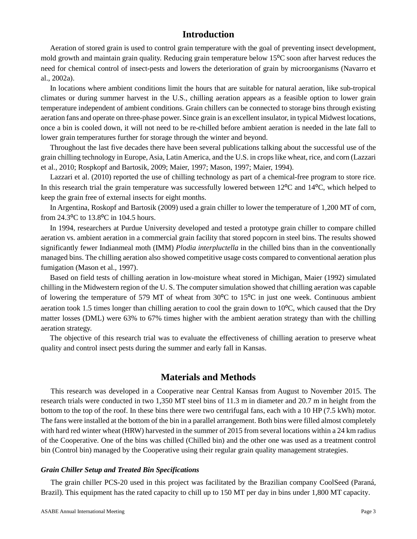# **Introduction**

Aeration of stored grain is used to control grain temperature with the goal of preventing insect development, mold growth and maintain grain quality. Reducing grain temperature below 15<sup>o</sup>C soon after harvest reduces the need for chemical control of insect-pests and lowers the deterioration of grain by microorganisms (Navarro et al., 2002a).

In locations where ambient conditions limit the hours that are suitable for natural aeration, like sub-tropical climates or during summer harvest in the U.S., chilling aeration appears as a feasible option to lower grain temperature independent of ambient conditions. Grain chillers can be connected to storage bins through existing aeration fans and operate on three-phase power. Since grain is an excellent insulator, in typical Midwest locations, once a bin is cooled down, it will not need to be re-chilled before ambient aeration is needed in the late fall to lower grain temperatures further for storage through the winter and beyond.

Throughout the last five decades there have been several publications talking about the successful use of the grain chilling technology in Europe, Asia, Latin America, and the U.S. in crops like wheat, rice, and corn (Lazzari et al.*,* 2010; Rospkopf and Bartosik, 2009; Maier, 1997; Mason, 1997; Maier, 1994).

Lazzari et al. (2010) reported the use of chilling technology as part of a chemical-free program to store rice. In this research trial the grain temperature was successfully lowered between 12<sup>o</sup>C and 14<sup>o</sup>C, which helped to keep the grain free of external insects for eight months.

In Argentina, Roskopf and Bartosik (2009) used a grain chiller to lower the temperature of 1,200 MT of corn, from 24.3<sup>o</sup>C to 13.8<sup>o</sup>C in 104.5 hours.

In 1994, researchers at Purdue University developed and tested a prototype grain chiller to compare chilled aeration vs. ambient aeration in a commercial grain facility that stored popcorn in steel bins. The results showed significantly fewer Indianmeal moth (IMM) *Plodia interpluctella* in the chilled bins than in the conventionally managed bins. The chilling aeration also showed competitive usage costs compared to conventional aeration plus fumigation (Mason et al.*,* 1997).

Based on field tests of chilling aeration in low-moisture wheat stored in Michigan, Maier (1992) simulated chilling in the Midwestern region of the U. S. The computer simulation showed that chilling aeration was capable of lowering the temperature of 579 MT of wheat from  $30^{\circ}$ C to 15<sup>o</sup>C in just one week. Continuous ambient aeration took 1.5 times longer than chilling aeration to cool the grain down to  $10^{\circ}$ C, which caused that the Dry matter losses (DML) were 63% to 67% times higher with the ambient aeration strategy than with the chilling aeration strategy.

The objective of this research trial was to evaluate the effectiveness of chilling aeration to preserve wheat quality and control insect pests during the summer and early fall in Kansas.

# **Materials and Methods**

This research was developed in a Cooperative near Central Kansas from August to November 2015. The research trials were conducted in two 1,350 MT steel bins of 11.3 m in diameter and 20.7 m in height from the bottom to the top of the roof. In these bins there were two centrifugal fans, each with a 10 HP (7.5 kWh) motor. The fans were installed at the bottom of the bin in a parallel arrangement. Both bins were filled almost completely with hard red winter wheat (HRW) harvested in the summer of 2015 from several locations within a 24 km radius of the Cooperative. One of the bins was chilled (Chilled bin) and the other one was used as a treatment control bin (Control bin) managed by the Cooperative using their regular grain quality management strategies.

#### *Grain Chiller Setup and Treated Bin Specifications*

The grain chiller PCS-20 used in this project was facilitated by the Brazilian company CoolSeed (Paraná, Brazil). This equipment has the rated capacity to chill up to 150 MT per day in bins under 1,800 MT capacity.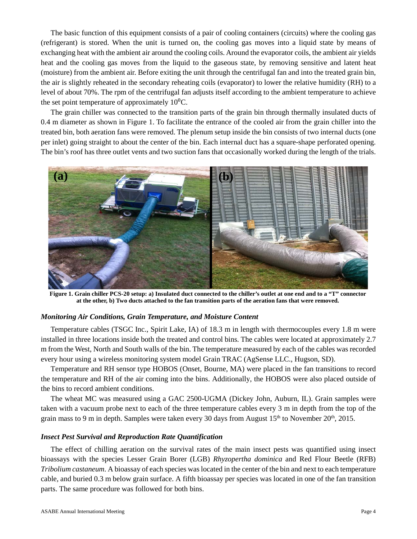The basic function of this equipment consists of a pair of cooling containers (circuits) where the cooling gas (refrigerant) is stored. When the unit is turned on, the cooling gas moves into a liquid state by means of exchanging heat with the ambient air around the cooling coils. Around the evaporator coils, the ambient air yields heat and the cooling gas moves from the liquid to the gaseous state, by removing sensitive and latent heat (moisture) from the ambient air. Before exiting the unit through the centrifugal fan and into the treated grain bin, the air is slightly reheated in the secondary reheating coils (evaporator) to lower the relative humidity (RH) to a level of about 70%. The rpm of the centrifugal fan adjusts itself according to the ambient temperature to achieve the set point temperature of approximately  $10^{0}$ C.

The grain chiller was connected to the transition parts of the grain bin through thermally insulated ducts of 0.4 m diameter as shown in Figure 1. To facilitate the entrance of the cooled air from the grain chiller into the treated bin, both aeration fans were removed. The plenum setup inside the bin consists of two internal ducts (one per inlet) going straight to about the center of the bin. Each internal duct has a square-shape perforated opening. The bin's roof has three outlet vents and two suction fans that occasionally worked during the length of the trials.



**Figure 1. Grain chiller PCS-20 setup: a) Insulated duct connected to the chiller's outlet at one end and to a "T" connector at the other, b) Two ducts attached to the fan transition parts of the aeration fans that were removed.**

### *Monitoring Air Conditions, Grain Temperature, and Moisture Content*

Temperature cables (TSGC Inc., Spirit Lake, IA) of 18.3 m in length with thermocouples every 1.8 m were installed in three locations inside both the treated and control bins. The cables were located at approximately 2.7 m from the West, North and South walls of the bin. The temperature measured by each of the cables was recorded every hour using a wireless monitoring system model Grain TRAC (AgSense LLC., Hugson, SD).

Temperature and RH sensor type HOBOS (Onset, Bourne, MA) were placed in the fan transitions to record the temperature and RH of the air coming into the bins. Additionally, the HOBOS were also placed outside of the bins to record ambient conditions.

The wheat MC was measured using a GAC 2500-UGMA (Dickey John, Auburn, IL). Grain samples were taken with a vacuum probe next to each of the three temperature cables every 3 m in depth from the top of the grain mass to 9 m in depth. Samples were taken every 30 days from August  $15<sup>th</sup>$  to November 20<sup>th</sup>, 2015.

#### *Insect Pest Survival and Reproduction Rate Quantification*

The effect of chilling aeration on the survival rates of the main insect pests was quantified using insect bioassays with the species Lesser Grain Borer (LGB) *Rhyzopertha dominica* and Red Flour Beetle (RFB) *Tribolium castaneum*. A bioassay of each species was located in the center of the bin and next to each temperature cable, and buried 0.3 m below grain surface. A fifth bioassay per species was located in one of the fan transition parts. The same procedure was followed for both bins.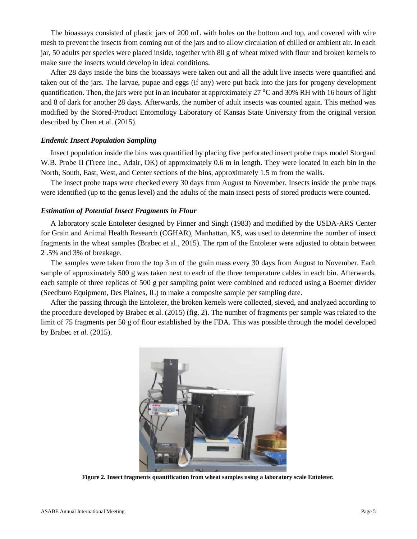The bioassays consisted of plastic jars of 200 mL with holes on the bottom and top, and covered with wire mesh to prevent the insects from coming out of the jars and to allow circulation of chilled or ambient air. In each jar, 50 adults per species were placed inside, together with 80 g of wheat mixed with flour and broken kernels to make sure the insects would develop in ideal conditions.

After 28 days inside the bins the bioassays were taken out and all the adult live insects were quantified and taken out of the jars. The larvae, pupae and eggs (if any) were put back into the jars for progeny development quantification. Then, the jars were put in an incubator at approximately 27<sup> $0$ </sup>C and 30% RH with 16 hours of light and 8 of dark for another 28 days. Afterwards, the number of adult insects was counted again. This method was modified by the Stored-Product Entomology Laboratory of Kansas State University from the original version described by Chen et al. (2015).

### *Endemic Insect Population Sampling*

Insect population inside the bins was quantified by placing five perforated insect probe traps model Storgard W.B. Probe II (Trece Inc., Adair, OK) of approximately 0.6 m in length. They were located in each bin in the North, South, East, West, and Center sections of the bins, approximately 1.5 m from the walls.

The insect probe traps were checked every 30 days from August to November. Insects inside the probe traps were identified (up to the genus level) and the adults of the main insect pests of stored products were counted.

### *Estimation of Potential Insect Fragments in Flour*

A laboratory scale Entoleter designed by Finner and Singh (1983) and modified by the USDA-ARS Center for Grain and Animal Health Research (CGHAR), Manhattan, KS, was used to determine the number of insect fragments in the wheat samples (Brabec et al., 2015). The rpm of the Entoleter were adjusted to obtain between 2 .5% and 3% of breakage.

The samples were taken from the top 3 m of the grain mass every 30 days from August to November. Each sample of approximately 500 g was taken next to each of the three temperature cables in each bin. Afterwards, each sample of three replicas of 500 g per sampling point were combined and reduced using a Boerner divider (Seedburo Equipment, Des Plaines, IL) to make a composite sample per sampling date.

After the passing through the Entoleter, the broken kernels were collected, sieved, and analyzed according to the procedure developed by Brabec et al. (2015) (fig. 2). The number of fragments per sample was related to the limit of 75 fragments per 50 g of flour established by the FDA. This was possible through the model developed by Brabec *et al.* (2015).



**Figure 2. Insect fragments quantification from wheat samples using a laboratory scale Entoleter.**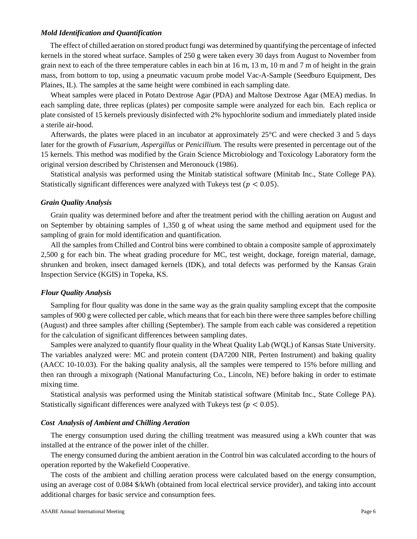### *Mold Identification and Quantification*

The effect of chilled aeration on stored product fungi was determined by quantifying the percentage of infected kernels in the stored wheat surface. Samples of 250 g were taken every 30 days from August to November from grain next to each of the three temperature cables in each bin at 16 m, 13 m, 10 m and 7 m of height in the grain mass, from bottom to top, using a pneumatic vacuum probe model Vac-A-Sample (Seedburo Equipment, Des Plaines, IL). The samples at the same height were combined in each sampling date.

Wheat samples were placed in Potato Dextrose Agar (PDA) and Maltose Dextrose Agar (MEA) medias. In each sampling date, three replicas (plates) per composite sample were analyzed for each bin. Each replica or plate consisted of 15 kernels previously disinfected with 2% hypochlorite sodium and immediately plated inside a sterile air-hood.

Afterwards, the plates were placed in an incubator at approximately 25°C and were checked 3 and 5 days later for the growth of *Fusarium, Aspergillus* or *Penicillium.* The results were presented in percentage out of the 15 kernels. This method was modified by the Grain Science Microbiology and Toxicology Laboratory form the original version described by Christensen and Meronouck (1986).

Statistical analysis was performed using the Minitab statistical software (Minitab Inc., State College PA). Statistically significant differences were analyzed with Tukeys test ( $p < 0.05$ ).

### *Grain Quality Analysis*

Grain quality was determined before and after the treatment period with the chilling aeration on August and on September by obtaining samples of 1,350 g of wheat using the same method and equipment used for the sampling of grain for mold identification and quantification.

All the samples from Chilled and Control bins were combined to obtain a composite sample of approximately 2,500 g for each bin. The wheat grading procedure for MC, test weight, dockage, foreign material, damage, shrunken and broken, insect damaged kernels (IDK), and total defects was performed by the Kansas Grain Inspection Service (KGIS) in Topeka, KS.

#### *Flour Quality Analysis*

Sampling for flour quality was done in the same way as the grain quality sampling except that the composite samples of 900 g were collected per cable, which means that for each bin there were three samples before chilling (August) and three samples after chilling (September). The sample from each cable was considered a repetition for the calculation of significant differences between sampling dates.

Samples were analyzed to quantify flour quality in the Wheat Quality Lab (WQL) of Kansas State University. The variables analyzed were: MC and protein content (DA7200 NIR, Perten Instrument) and baking quality (AACC 10-10.03). For the baking quality analysis, all the samples were tempered to 15% before milling and then ran through a mixograph (National Manufacturing Co., Lincoln, NE) before baking in order to estimate mixing time.

Statistical analysis was performed using the Minitab statistical software (Minitab Inc., State College PA). Statistically significant differences were analyzed with Tukeys test ( $p < 0.05$ ).

# *Cost Analysis of Ambient and Chilling Aeration*

The energy consumption used during the chilling treatment was measured using a kWh counter that was installed at the entrance of the power inlet of the chiller.

The energy consumed during the ambient aeration in the Control bin was calculated according to the hours of operation reported by the Wakefield Cooperative.

The costs of the ambient and chilling aeration process were calculated based on the energy consumption, using an average cost of 0.084 \$/kWh (obtained from local electrical service provider), and taking into account additional charges for basic service and consumption fees.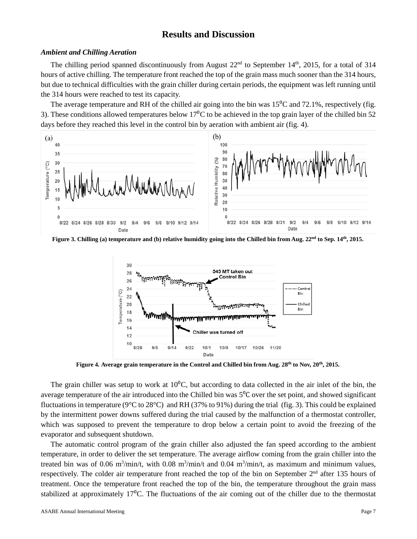# **Results and Discussion**

### *Ambient and Chilling Aeration*

The chilling period spanned discontinuously from August  $22<sup>nd</sup>$  to September 14<sup>th</sup>, 2015, for a total of 314 hours of active chilling. The temperature front reached the top of the grain mass much sooner than the 314 hours, but due to technical difficulties with the grain chiller during certain periods, the equipment was left running until the 314 hours were reached to test its capacity.

The average temperature and RH of the chilled air going into the bin was  $15^{\circ}$ C and 72.1%, respectively (fig. 3). These conditions allowed temperatures below  $17^{\circ}$ C to be achieved in the top grain layer of the chilled bin 52 days before they reached this level in the control bin by aeration with ambient air (fig. 4).



**Figure 3. Chilling (a) temperature and (b) relative humidity going into the Chilled bin from Aug. 22nd to Sep. 14th, 2015.**



**Figure 4. Average grain temperature in the Control and Chilled bin from Aug. 28th to Nov, 20th, 2015.**

The grain chiller was setup to work at  $10^{\circ}$ C, but according to data collected in the air inlet of the bin, the average temperature of the air introduced into the Chilled bin was  $5<sup>0</sup>C$  over the set point, and showed significant fluctuations in temperature ( $9^{\circ}$ C to 28 $^{\circ}$ C) and RH (37% to 91%) during the trial (fig. 3). This could be explained by the intermittent power downs suffered during the trial caused by the malfunction of a thermostat controller, which was supposed to prevent the temperature to drop below a certain point to avoid the freezing of the evaporator and subsequent shutdown.

The automatic control program of the grain chiller also adjusted the fan speed according to the ambient temperature, in order to deliver the set temperature. The average airflow coming from the grain chiller into the treated bin was of 0.06 m<sup>3</sup>/min/t, with 0.08 m<sup>3</sup>/min/t and 0.04 m<sup>3</sup>/min/t, as maximum and minimum values, respectively. The colder air temperature front reached the top of the bin on September 2<sup>nd</sup> after 135 hours of treatment. Once the temperature front reached the top of the bin, the temperature throughout the grain mass stabilized at approximately  $17^{\circ}$ C. The fluctuations of the air coming out of the chiller due to the thermostat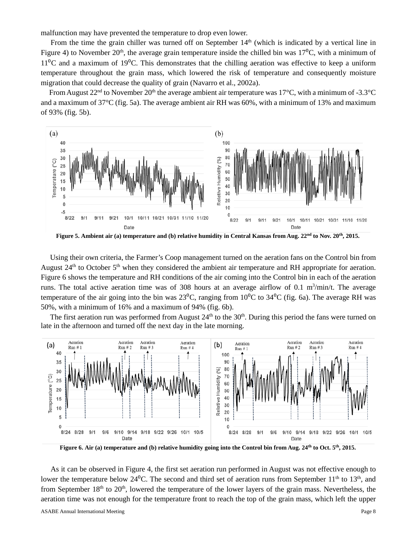malfunction may have prevented the temperature to drop even lower.

From the time the grain chiller was turned off on September  $14<sup>th</sup>$  (which is indicated by a vertical line in Figure 4) to November 20<sup>th</sup>, the average grain temperature inside the chilled bin was  $17^{\circ}$ C, with a minimum of  $11^{\circ}$ C and a maximum of 19<sup>o</sup>C. This demonstrates that the chilling aeration was effective to keep a uniform temperature throughout the grain mass, which lowered the risk of temperature and consequently moisture migration that could decrease the quality of grain (Navarro et al., 2002a).

From August 22<sup>nd</sup> to November 20<sup>th</sup> the average ambient air temperature was 17°C, with a minimum of -3.3°C and a maximum of 37°C (fig. 5a). The average ambient air RH was 60%, with a minimum of 13% and maximum of 93% (fig. 5b).



**Figure 5. Ambient air (a) temperature and (b) relative humidity in Central Kansas from Aug. 22nd to Nov. 20th, 2015.**

Using their own criteria, the Farmer's Coop management turned on the aeration fans on the Control bin from August 24<sup>th</sup> to October 5<sup>th</sup> when they considered the ambient air temperature and RH appropriate for aeration. Figure 6 shows the temperature and RH conditions of the air coming into the Control bin in each of the aeration runs. The total active aeration time was of 308 hours at an average airflow of  $0.1 \text{ m}^3/\text{min/t}$ . The average temperature of the air going into the bin was  $23^{\circ}$ C, ranging from  $10^{\circ}$ C to  $34^{\circ}$ C (fig. 6a). The average RH was 50%, with a minimum of 16% and a maximum of 94% (fig. 6b).

The first aeration run was performed from August  $24<sup>th</sup>$  to the  $30<sup>th</sup>$ . During this period the fans were turned on late in the afternoon and turned off the next day in the late morning.



**Figure 6. Air (a) temperature and (b) relative humidity going into the Control bin from Aug. 24th to Oct. 5th, 2015.**

As it can be observed in Figure 4, the first set aeration run performed in August was not effective enough to lower the temperature below  $24^{\circ}$ C. The second and third set of aeration runs from September 11<sup>th</sup> to 13<sup>th</sup>, and from September  $18<sup>th</sup>$  to  $20<sup>th</sup>$ , lowered the temperature of the lower layers of the grain mass. Nevertheless, the aeration time was not enough for the temperature front to reach the top of the grain mass, which left the upper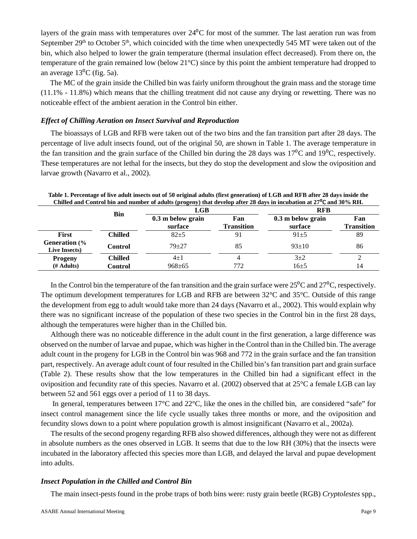layers of the grain mass with temperatures over  $24\text{°C}$  for most of the summer. The last aeration run was from September  $29<sup>th</sup>$  to October  $5<sup>th</sup>$ , which coincided with the time when unexpectedly 545 MT were taken out of the bin, which also helped to lower the grain temperature (thermal insulation effect decreased). From there on, the temperature of the grain remained low (below 21°C) since by this point the ambient temperature had dropped to an average  $13^{0}$ C (fig. 5a).

The MC of the grain inside the Chilled bin was fairly uniform throughout the grain mass and the storage time (11.1% - 11.8%) which means that the chilling treatment did not cause any drying or rewetting. There was no noticeable effect of the ambient aeration in the Control bin either.

#### *Effect of Chilling Aeration on Insect Survival and Reproduction*

The bioassays of LGB and RFB were taken out of the two bins and the fan transition part after 28 days. The percentage of live adult insects found, out of the original 50, are shown in Table 1. The average temperature in the fan transition and the grain surface of the Chilled bin during the 28 days was  $17^{\circ}$ C and  $19^{\circ}$ C, respectively. These temperatures are not lethal for the insects, but they do stop the development and slow the oviposition and larvae growth (Navarro et al., 2002).

| Chined and Control bin and number of addits (progeny) that develop after 28 days in incubation at 27 G and 50% KH. |                |                              |                          |                                |                          |  |  |  |
|--------------------------------------------------------------------------------------------------------------------|----------------|------------------------------|--------------------------|--------------------------------|--------------------------|--|--|--|
|                                                                                                                    | Bin            | LGB                          |                          | <b>RFB</b>                     |                          |  |  |  |
|                                                                                                                    |                | 0.3 m below grain<br>surface | Fan<br><b>Transition</b> | $0.3$ m below grain<br>surface | Fan<br><b>Transition</b> |  |  |  |
| <b>First</b>                                                                                                       | <b>Chilled</b> | $82 + 5$                     | 91                       | $91 + 5$                       | 89                       |  |  |  |
| <b>Generation</b> (%<br>Live Insects)                                                                              | Control        | $79 + 27$                    | 85                       | $93+10$                        | 86                       |  |  |  |
| <b>Progeny</b>                                                                                                     | <b>Chilled</b> | $4+1$                        |                          | $3\pm2$                        |                          |  |  |  |
| (# Adults)                                                                                                         | Control        | $968 + 65$                   | 772                      | $16+5$                         | 14                       |  |  |  |

**Table 1. Percentage of live adult insects out of 50 original adults (first generation) of LGB and RFB after 28 days inside the Chilled and Control bin and number of adults (progeny) that develop after 28 days in incubation at 27**⁰C **and 30% RH.**

In the Control bin the temperature of the fan transition and the grain surface were  $25^{\circ}$ C and  $27^{\circ}$ C, respectively. The optimum development temperatures for LGB and RFB are between 32°C and 35°C. Outside of this range the development from egg to adult would take more than 24 days (Navarro et al., 2002). This would explain why there was no significant increase of the population of these two species in the Control bin in the first 28 days, although the temperatures were higher than in the Chilled bin.

Although there was no noticeable difference in the adult count in the first generation, a large difference was observed on the number of larvae and pupae, which was higher in the Control than in the Chilled bin. The average adult count in the progeny for LGB in the Control bin was 968 and 772 in the grain surface and the fan transition part, respectively. An average adult count of four resulted in the Chilled bin's fan transition part and grain surface (Table 2). These results show that the low temperatures in the Chilled bin had a significant effect in the oviposition and fecundity rate of this species. Navarro et al. (2002) observed that at 25°C a female LGB can lay between 52 and 561 eggs over a period of 11 to 38 days.

In general, temperatures between  $17^{\circ}$ C and  $22^{\circ}$ C, like the ones in the chilled bin, are considered "safe" for insect control management since the life cycle usually takes three months or more, and the oviposition and fecundity slows down to a point where population growth is almost insignificant (Navarro et al., 2002a).

The results of the second progeny regarding RFB also showed differences, although they were not as different in absolute numbers as the ones observed in LGB. It seems that due to the low RH (30%) that the insects were incubated in the laboratory affected this species more than LGB*,* and delayed the larval and pupae development into adults.

## *Insect Population in the Chilled and Control Bin*

The main insect-pests found in the probe traps of both bins were: rusty grain beetle (RGB) *Cryptolestes* spp.,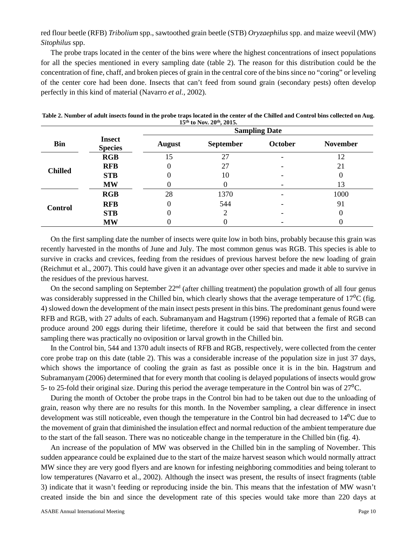red flour beetle (RFB) *Tribolium* spp., sawtoothed grain beetle (STB) *Oryzaephilus* spp. and maize weevil (MW) *Sitophilus* spp.

The probe traps located in the center of the bins were where the highest concentrations of insect populations for all the species mentioned in every sampling date (table 2). The reason for this distribution could be the concentration of fine, chaff, and broken pieces of grain in the central core of the bins since no "coring" or leveling of the center core had been done. Insects that can't feed from sound grain (secondary pests) often develop perfectly in this kind of material (Navarro *et al.*, 2002).

| Table 2. Number of adult insects found in the probe traps located in the center of the Chilled and Control bins collected on Aug. |
|-----------------------------------------------------------------------------------------------------------------------------------|
| $15th$ to Nov. $20th$ , $2015$ .                                                                                                  |

|                |                                 | <b>Sampling Date</b> |           |         |                 |  |  |  |  |
|----------------|---------------------------------|----------------------|-----------|---------|-----------------|--|--|--|--|
| <b>Bin</b>     | <b>Insect</b><br><b>Species</b> | <b>August</b>        | September | October | <b>November</b> |  |  |  |  |
|                | <b>RGB</b>                      | 15                   | 27        |         | 12              |  |  |  |  |
| <b>Chilled</b> | <b>RFB</b>                      |                      | 27        |         | 21              |  |  |  |  |
|                | <b>STB</b>                      |                      | 10        |         | 0               |  |  |  |  |
|                | <b>MW</b>                       |                      |           |         | 13              |  |  |  |  |
|                | <b>RGB</b>                      | 28                   | 1370      |         | 1000            |  |  |  |  |
| <b>Control</b> | <b>RFB</b>                      | $\left( \right)$     | 544       |         | 91              |  |  |  |  |
|                | <b>STB</b>                      |                      |           |         | 0               |  |  |  |  |
|                | <b>MW</b>                       |                      |           |         |                 |  |  |  |  |

On the first sampling date the number of insects were quite low in both bins, probably because this grain was recently harvested in the months of June and July. The most common genus was RGB. This species is able to survive in cracks and crevices, feeding from the residues of previous harvest before the new loading of grain (Reichmut et al., 2007). This could have given it an advantage over other species and made it able to survive in the residues of the previous harvest.

On the second sampling on September  $22<sup>nd</sup>$  (after chilling treatment) the population growth of all four genus was considerably suppressed in the Chilled bin, which clearly shows that the average temperature of  $17<sup>0</sup>C$  (fig. 4) slowed down the development of the main insect pests present in this bins. The predominant genus found were RFB and RGB, with 27 adults of each. Subramanyam and Hagstrum (1996) reported that a female of RGB can produce around 200 eggs during their lifetime, therefore it could be said that between the first and second sampling there was practically no oviposition or larval growth in the Chilled bin.

In the Control bin, 544 and 1370 adult insects of RFB and RGB, respectively, were collected from the center core probe trap on this date (table 2). This was a considerable increase of the population size in just 37 days, which shows the importance of cooling the grain as fast as possible once it is in the bin. Hagstrum and Subramanyam (2006) determined that for every month that cooling is delayed populations of insects would grow 5- to 25-fold their original size. During this period the average temperature in the Control bin was of  $27^{\circ}$ C.

During the month of October the probe traps in the Control bin had to be taken out due to the unloading of grain, reason why there are no results for this month. In the November sampling, a clear difference in insect development was still noticeable, even though the temperature in the Control bin had decreased to 14⁰C due to the movement of grain that diminished the insulation effect and normal reduction of the ambient temperature due to the start of the fall season. There was no noticeable change in the temperature in the Chilled bin (fig. 4).

An increase of the population of MW was observed in the Chilled bin in the sampling of November. This sudden appearance could be explained due to the start of the maize harvest season which would normally attract MW since they are very good flyers and are known for infesting neighboring commodities and being tolerant to low temperatures (Navarro et al., 2002). Although the insect was present, the results of insect fragments (table 3) indicate that it wasn't feeding or reproducing inside the bin. This means that the infestation of MW wasn't created inside the bin and since the development rate of this species would take more than 220 days at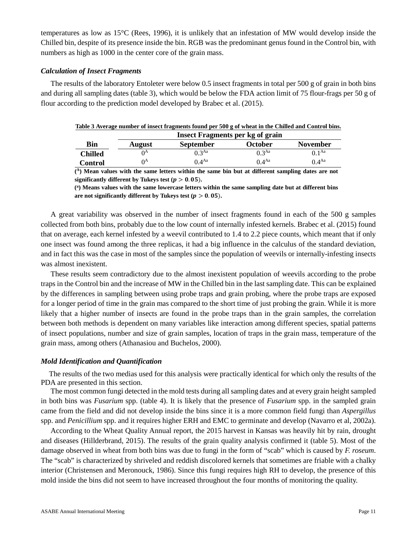temperatures as low as 15°C (Rees, 1996), it is unlikely that an infestation of MW would develop inside the Chilled bin, despite of its presence inside the bin. RGB was the predominant genus found in the Control bin, with numbers as high as 1000 in the center core of the grain mass.

### *Calculation of Insect Fragments*

The results of the laboratory Entoleter were below 0.5 insect fragments in total per 500 g of grain in both bins and during all sampling dates (table 3), which would be below the FDA action limit of 75 flour-frags per 50 g of flour according to the prediction model developed by Brabec et al. (2015).

|--|

|                | Insect Fragments per kg of grain |                   |                   |                   |  |  |  |
|----------------|----------------------------------|-------------------|-------------------|-------------------|--|--|--|
| Bin            | <b>August</b>                    | <b>September</b>  | October           | <b>November</b>   |  |  |  |
| Chilled        | ገΑ                               | $0.3^{Aa}$        | $0.3^{Aa}$        | 0.1 <sup>Aa</sup> |  |  |  |
| <b>Control</b> | ገΑ                               | 0.4 <sup>Aa</sup> | 0.4 <sup>Aa</sup> | 0.4 <sup>Aa</sup> |  |  |  |

**(A) Mean values with the same letters within the same bin but at different sampling dates are not**  significantly different by Tukeys test ( $p > 0.05$ ).

**(a) Means values with the same lowercase letters within the same sampling date but at different bins**  are not significantly different by Tukeys test ( $p > 0.05$ ).

A great variability was observed in the number of insect fragments found in each of the 500 g samples collected from both bins, probably due to the low count of internally infested kernels. Brabec et al. (2015) found that on average, each kernel infested by a weevil contributed to 1.4 to 2.2 piece counts, which meant that if only one insect was found among the three replicas, it had a big influence in the calculus of the standard deviation, and in fact this was the case in most of the samples since the population of weevils or internally-infesting insects was almost inexistent.

These results seem contradictory due to the almost inexistent population of weevils according to the probe traps in the Control bin and the increase of MW in the Chilled bin in the last sampling date. This can be explained by the differences in sampling between using probe traps and grain probing, where the probe traps are exposed for a longer period of time in the grain mas compared to the short time of just probing the grain. While it is more likely that a higher number of insects are found in the probe traps than in the grain samples, the correlation between both methods is dependent on many variables like interaction among different species, spatial patterns of insect populations, number and size of grain samples, location of traps in the grain mass, temperature of the grain mass, among others (Athanasiou and Buchelos, 2000).

### *Mold Identification and Quantification*

The results of the two medias used for this analysis were practically identical for which only the results of the PDA are presented in this section.

The most common fungi detected in the mold tests during all sampling dates and at every grain height sampled in both bins was *Fusarium* spp. (table 4). It is likely that the presence of *Fusarium* spp. in the sampled grain came from the field and did not develop inside the bins since it is a more common field fungi than *Aspergillus*  spp. and *Penicillium* spp. and it requires higher ERH and EMC to germinate and develop (Navarro et al, 2002a).

According to the Wheat Quality Annual report, the 2015 harvest in Kansas was heavily hit by rain, drought and diseases (Hillderbrand, 2015). The results of the grain quality analysis confirmed it (table 5). Most of the damage observed in wheat from both bins was due to fungi in the form of "scab" which is caused by *F. roseum*. The "scab" is characterized by shriveled and reddish discolored kernels that sometimes are friable with a chalky interior (Christensen and Meronouck, 1986). Since this fungi requires high RH to develop, the presence of this mold inside the bins did not seem to have increased throughout the four months of monitoring the quality.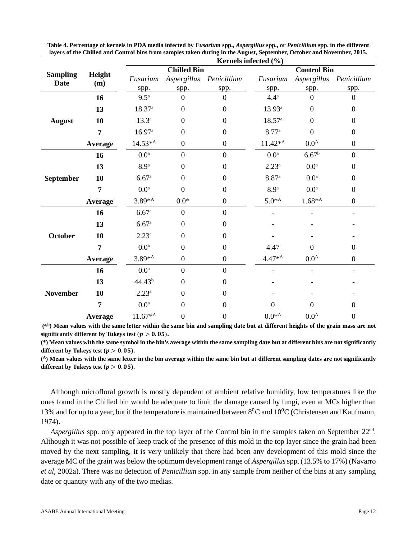| Table 4. Percentage of kernels in PDA media infected by Fusarium spp., Aspergillus spp., or Penicillium spp. in the different |
|-------------------------------------------------------------------------------------------------------------------------------|
| layers of the Chilled and Control bins from samples taken during in the August, September, October and November, 2015.        |
| $\mathbf{V}$ $\mathbf{I}$ $\mathbf{P}$ $\mathbf{I}$ (0/)                                                                      |

|                                |               | Kernels infected $(\% )$ |                  |                         |                   |                    |                         |  |  |
|--------------------------------|---------------|--------------------------|------------------|-------------------------|-------------------|--------------------|-------------------------|--|--|
|                                |               | <b>Chilled Bin</b>       |                  |                         |                   | <b>Control Bin</b> |                         |  |  |
| <b>Sampling</b><br><b>Date</b> | Height<br>(m) | Fusarium                 |                  | Aspergillus Penicillium | Fusarium          |                    | Aspergillus Penicillium |  |  |
|                                |               | spp.                     | spp.             | spp.                    | spp.              | spp.               | spp.                    |  |  |
|                                | 16            | $9.5^{\mathrm{a}}$       | $\overline{0}$   | $\overline{0}$          | 4.4 <sup>a</sup>  | $\overline{0}$     | $\boldsymbol{0}$        |  |  |
|                                | 13            | 18.37a                   | $\mathbf{0}$     | $\boldsymbol{0}$        | $13.93^{a}$       | $\boldsymbol{0}$   | $\boldsymbol{0}$        |  |  |
| <b>August</b>                  | 10            | 13.3 <sup>a</sup>        | $\boldsymbol{0}$ | $\overline{0}$          | $18.57^{\circ}$   | $\overline{0}$     | $\boldsymbol{0}$        |  |  |
|                                | 7             | 16.97 <sup>a</sup>       | $\overline{0}$   | $\overline{0}$          | 8.77 <sup>a</sup> | $\theta$           | $\boldsymbol{0}$        |  |  |
|                                | Average       | $14.53*A$                | $\boldsymbol{0}$ | $\boldsymbol{0}$        | $11.42*A$         | 0.0 <sup>A</sup>   | $\boldsymbol{0}$        |  |  |
| <b>September</b>               | 16            | 0.0 <sup>a</sup>         | $\boldsymbol{0}$ | $\overline{0}$          | $0.0^{\rm a}$     | 6.67 <sup>b</sup>  | $\boldsymbol{0}$        |  |  |
|                                | 13            | 8.9 <sup>a</sup>         | $\mathbf{0}$     | $\boldsymbol{0}$        | $2.23^{a}$        | 0.0 <sup>a</sup>   | $\boldsymbol{0}$        |  |  |
|                                | 10            | 6.67 <sup>a</sup>        | $\boldsymbol{0}$ | $\boldsymbol{0}$        | 8.87 <sup>a</sup> | 0.0 <sup>a</sup>   | $\boldsymbol{0}$        |  |  |
|                                | 7             | 0.0 <sup>a</sup>         | $\theta$         | $\overline{0}$          | 8.9 <sup>a</sup>  | 0.0 <sup>a</sup>   | $\boldsymbol{0}$        |  |  |
|                                | Average       | 3.89*A                   | $0.0*$           | $\boldsymbol{0}$        | $5.0*A$           | $1.68*A$           | $\boldsymbol{0}$        |  |  |
|                                | 16            | 6.67 <sup>a</sup>        | $\mathbf{0}$     | $\boldsymbol{0}$        |                   |                    |                         |  |  |
| <b>October</b>                 | 13            | 6.67 <sup>a</sup>        | $\boldsymbol{0}$ | $\boldsymbol{0}$        |                   |                    |                         |  |  |
|                                | 10            | $2.23^a$                 | $\boldsymbol{0}$ | $\overline{0}$          |                   |                    |                         |  |  |
|                                | 7             | 0.0 <sup>a</sup>         | $\boldsymbol{0}$ | $\boldsymbol{0}$        | 4.47              | $\theta$           | $\boldsymbol{0}$        |  |  |
|                                | Average       | 3.89*A                   | $\boldsymbol{0}$ | $\boldsymbol{0}$        | $4.47*A$          | 0.0 <sup>A</sup>   | $\boldsymbol{0}$        |  |  |
| <b>November</b>                | 16            | $0.0^{\mathrm{a}}$       | $\boldsymbol{0}$ | $\boldsymbol{0}$        |                   |                    |                         |  |  |
|                                | 13            | 44.43 <sup>b</sup>       | $\boldsymbol{0}$ | $\boldsymbol{0}$        |                   |                    |                         |  |  |
|                                | 10            | $2.23^{a}$               | $\boldsymbol{0}$ | $\boldsymbol{0}$        |                   |                    |                         |  |  |
|                                | 7             | 0.0 <sup>a</sup>         | $\overline{0}$   | $\overline{0}$          | $\Omega$          | $\Omega$           | $\Omega$                |  |  |
|                                | Average       | $11.67 * A$              | $\boldsymbol{0}$ | $\boldsymbol{0}$        | $0.0^{*A}$        | 0.0 <sup>A</sup>   | $\boldsymbol{0}$        |  |  |

**( a,b) Mean values with the same letter within the same bin and sampling date but at different heights of the grain mass are not**  significantly different by Tukeys test  $(p > 0.05)$ .

**(\*) Mean values with the same symbol in the bin's average within the same sampling date but at different bins are not significantly**  different by Tukeys test ( $p > 0.05$ ).

**(A) Mean values with the same letter in the bin average within the same bin but at different sampling dates are not significantly**  different by Tukeys test ( $p > 0.05$ ).

Although microfloral growth is mostly dependent of ambient relative humidity, low temperatures like the ones found in the Chilled bin would be adequate to limit the damage caused by fungi, even at MCs higher than 13% and for up to a year, but if the temperature is maintained between  $8^0C$  and  $10^0C$  (Christensen and Kaufmann, 1974).

*Aspergillus* spp. only appeared in the top layer of the Control bin in the samples taken on September 22nd. Although it was not possible of keep track of the presence of this mold in the top layer since the grain had been moved by the next sampling, it is very unlikely that there had been any development of this mold since the average MC of the grain was below the optimum development range of *Aspergillus* spp. (13.5% to 17%) (Navarro *et al*, 2002a). There was no detection of *Penicillium* spp. in any sample from neither of the bins at any sampling date or quantity with any of the two medias.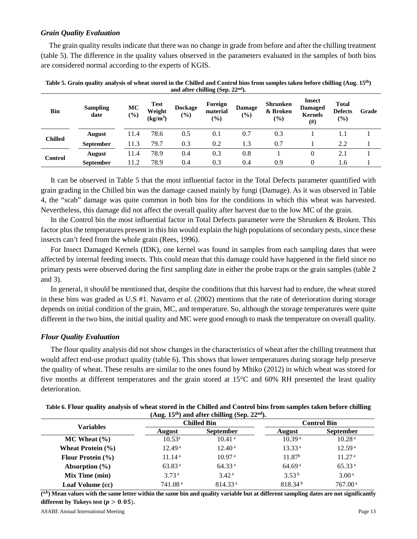### *Grain Quality Evaluation*

The grain quality results indicate that there was no change in grade from before and after the chilling treatment (table 5). The difference in the quality values observed in the parameters evaluated in the samples of both bins are considered normal according to the experts of KGIS.

| <b>Bin</b>     | <b>Sampling</b><br>date | MC<br>$(\%)$ | <b>Test</b><br>Weight<br>(kg/m <sup>3</sup> ) | <b>Dockage</b><br>$(\%)$ | Foreign<br>material<br>$(\%)$ | <b>Damage</b><br>$(\%)$ | Shrunken<br>& Broken<br>$(\%)$ | <b>Insect</b><br><b>Damaged</b><br><b>Kernels</b><br>$(\#)$ | <b>Total</b><br><b>Defects</b><br>$\left(\frac{6}{6}\right)$ | Grade |
|----------------|-------------------------|--------------|-----------------------------------------------|--------------------------|-------------------------------|-------------------------|--------------------------------|-------------------------------------------------------------|--------------------------------------------------------------|-------|
| <b>Chilled</b> | <b>August</b>           | 11.4         | 78.6                                          | 0.5                      | 0.1                           | 0.7                     | 0.3                            |                                                             | 1.1                                                          |       |
|                | <b>September</b>        | 11.3         | 79.7                                          | 0.3                      | 0.2                           | 1.3                     | 0.7                            |                                                             | 2.2                                                          |       |
| <b>Control</b> | August                  | 11.4         | 78.9                                          | 0.4                      | 0.3                           | 0.8                     |                                | $\theta$                                                    | 2.1                                                          |       |
|                | <b>September</b>        | 11.2         | 78.9                                          | 0.4                      | 0.3                           | 0.4                     | 0.9                            | 0                                                           | 1.6                                                          |       |

**Table 5. Grain quality analysis of wheat stored in the Chilled and Control bins from samples taken before chilling (Aug. 15th) and after chilling (Sep. 22nd).**

It can be observed in Table 5 that the most influential factor in the Total Defects parameter quantified with grain grading in the Chilled bin was the damage caused mainly by fungi (Damage). As it was observed in Table 4, the "scab" damage was quite common in both bins for the conditions in which this wheat was harvested. Nevertheless, this damage did not affect the overall quality after harvest due to the low MC of the grain.

In the Control bin the most influential factor in Total Defects parameter were the Shrunken & Broken. This factor plus the temperatures present in this bin would explain the high populations of secondary pests, since these insects can't feed from the whole grain (Rees, 1996).

For Insect Damaged Kernels (IDK), one kernel was found in samples from each sampling dates that were affected by internal feeding insects. This could mean that this damage could have happened in the field since no primary pests were observed during the first sampling date in either the probe traps or the grain samples (table 2 and 3).

In general, it should be mentioned that, despite the conditions that this harvest had to endure, the wheat stored in these bins was graded as U.S #1. Navarro *et al.* (2002) mentions that the rate of deterioration during storage depends on initial condition of the grain, MC, and temperature. So, although the storage temperatures were quite different in the two bins, the initial quality and MC were good enough to mask the temperature on overall quality.

# *Flour Quality Evaluation*

The flour quality analysis did not show changes in the characteristics of wheat after the chilling treatment that would affect end-use product quality (table 6). This shows that lower temperatures during storage help preserve the quality of wheat. These results are similar to the ones found by Mhiko (2012) in which wheat was stored for five months at different temperatures and the grain stored at 15°C and 60% RH presented the least quality deterioration.

| Table 6. Flour quality analysis of wheat stored in the Chilled and Control bins from samples taken before chilling |
|--------------------------------------------------------------------------------------------------------------------|
| (Aug. $15th$ ) and after chilling (Sep. $22nd$ ).                                                                  |

|                              |                     | <b>Chilled Bin</b>  |                     | <b>Control Bin</b>  |  |  |
|------------------------------|---------------------|---------------------|---------------------|---------------------|--|--|
| <b>Variables</b>             | <b>August</b>       | <b>September</b>    | <b>August</b>       | <b>September</b>    |  |  |
| $MC$ Wheat $(\% )$           | $10.53^{\rm a}$     | 10.41 <sup>a</sup>  | 10.39 <sup>a</sup>  | 10.28 <sup>a</sup>  |  |  |
| Wheat Protein $(\% )$        | 12.49 <sup>a</sup>  | $12.40^{\text{a}}$  | 13.33 <sup>a</sup>  | 12.59 <sup>a</sup>  |  |  |
| <b>Flour Protein</b> $(\% )$ | 11.14 <sup>a</sup>  | 10.97 <sup>a</sup>  | 11.87 <sup>b</sup>  | 11.27 <sup>a</sup>  |  |  |
| Absorption $(\% )$           | 63.83 <sup>a</sup>  | 64.33 <sup>a</sup>  | 64.69 <sup>a</sup>  | 65.33 <sup>a</sup>  |  |  |
| Mix Time (min)               | 3.73 <sup>a</sup>   | 3.42 <sup>a</sup>   | 3.53 <sup>b</sup>   | 3.00 <sup>a</sup>   |  |  |
| Loaf Volume (cc)             | 741.08 <sup>a</sup> | 814.33 <sup>a</sup> | 818.34 <sup>b</sup> | 767.00 <sup>a</sup> |  |  |

**( a,b) Mean values with the same letter within the same bin and quality variable but at different sampling dates are not significantly**  different by Tukeys test ( $p > 0.05$ ).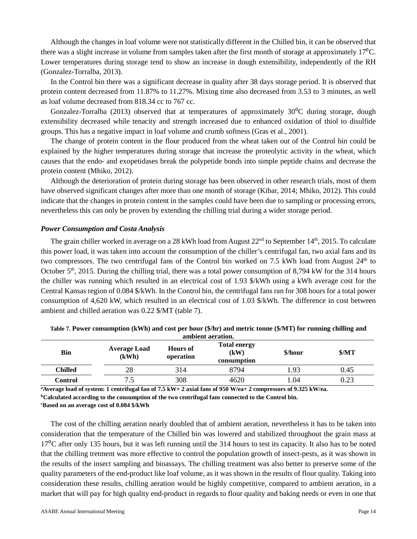Although the changes in loaf volume were not statistically different in the Chilled bin, it can be observed that there was a slight increase in volume from samples taken after the first month of storage at approximately  $17^{\circ}$ C. Lower temperatures during storage tend to show an increase in dough extensibility, independently of the RH (Gonzalez-Torralba, 2013).

In the Control bin there was a significant decrease in quality after 38 days storage period. It is observed that protein content decreased from 11.87% to 11.27%. Mixing time also decreased from 3.53 to 3 minutes, as well as loaf volume decreased from 818.34 cc to 767 cc.

Gonzalez-Torralba (2013) observed that at temperatures of approximately  $30^{\circ}$ C during storage, dough extensibility decreased while tenacity and strength increased due to enhanced oxidation of thiol to disulfide groups. This has a negative impact in loaf volume and crumb softness (Gras et al., 2001).

The change of protein content in the flour produced from the wheat taken out of the Control bin could be explained by the higher temperatures during storage that increase the proteolytic activity in the wheat, which causes that the endo- and exopetidases break the polypetide bonds into simple peptide chains and decrease the protein content (Mhiko, 2012).

Although the deterioration of protein during storage has been observed in other research trials, most of them have observed significant changes after more than one month of storage (Kibar, 2014; Mhiko, 2012). This could indicate that the changes in protein content in the samples could have been due to sampling or processing errors, nevertheless this can only be proven by extending the chilling trial during a wider storage period.

### *Power Consumption and Costa Analysis*

The grain chiller worked in average on a 28 kWh load from August  $22<sup>nd</sup>$  to September 14<sup>th</sup>, 2015. To calculate this power load, it was taken into account the consumption of the chiller's centrifugal fan, two axial fans and its two compressors. The two centrifugal fans of the Control bin worked on 7.5 kWh load from August  $24<sup>th</sup>$  to October  $5<sup>th</sup>$ , 2015. During the chilling trial, there was a total power consumption of 8,794 kW for the 314 hours the chiller was running which resulted in an electrical cost of 1.93 \$/kWh using a kWh average cost for the Central Kansas region of 0.084 \$/kWh. In the Control bin, the centrifugal fans ran for 308 hours for a total power consumption of 4,620 kW, which resulted in an electrical cost of 1.03 \$/kWh. The difference in cost between ambient and chilled aeration was 0.22 \$/MT (table 7).

| ambient aeration. |                              |                              |                                            |         |         |  |  |  |
|-------------------|------------------------------|------------------------------|--------------------------------------------|---------|---------|--|--|--|
| Bin               | <b>Average Load</b><br>(kWh) | <b>Hours of</b><br>operation | <b>Total energy</b><br>(kW)<br>consumption | \$/hour | $M_{T}$ |  |  |  |
| Chilled           | 28                           | 314                          | 8794                                       | 1.93    | 0.45    |  |  |  |
| Control           |                              | 308                          | 4620                                       | 1.04    | 0.23    |  |  |  |

**Table 7. Power consumption (kWh) and cost per hour (\$/hr) and metric tonne (\$/MT) for running chilling and ambient aeration.**

**aAverage load of system: 1 centrifugal fan of 7.5 kW+ 2 axial fans of 950 W/ea+ 2 compressors of 9.325 kW/ea. bCalculated according to the consumption of the two centrifugal fans connected to the Control bin. c Based on an average cost of 0.084 \$/kWh**

The cost of the chilling aeration nearly doubled that of ambient aeration, nevertheless it has to be taken into consideration that the temperature of the Chilled bin was lowered and stabilized throughout the grain mass at 17⁰C after only 135 hours, but it was left running until the 314 hours to test its capacity. It also has to be noted that the chilling tretment was more effective to control the population growth of insect-pests, as it was shown in the results of the insect sampling and bioassays. The chilling treatment was also better to preserve some of the quality parameters of the end-product like loaf volume, as it was shown in the results of flour quality. Taking into consideration these results, chilling aeration would be highly competitive, compared to ambient aeration, in a market that will pay for high quality end-product in regards to flour quality and baking needs or even in one that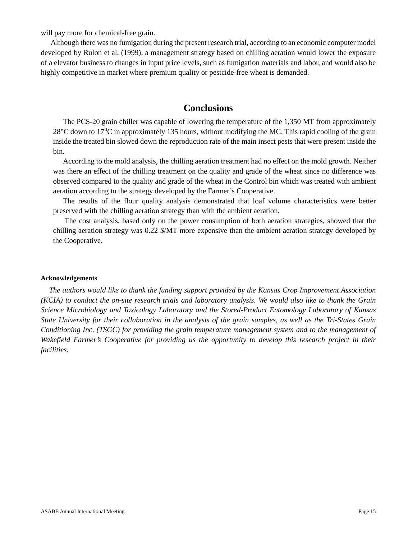will pay more for chemical-free grain.

Although there was no fumigation during the present research trial, according to an economic computer model developed by Rulon et al. (1999), a management strategy based on chilling aeration would lower the exposure of a elevator business to changes in input price levels, such as fumigation materials and labor, and would also be highly competitive in market where premium quality or pestcide-free wheat is demanded.

# **Conclusions**

The PCS-20 grain chiller was capable of lowering the temperature of the 1,350 MT from approximately 28<sup>o</sup>C down to 17<sup>o</sup>C in approximately 135 hours, without modifying the MC. This rapid cooling of the grain inside the treated bin slowed down the reproduction rate of the main insect pests that were present inside the bin.

According to the mold analysis, the chilling aeration treatment had no effect on the mold growth. Neither was there an effect of the chilling treatment on the quality and grade of the wheat since no difference was observed compared to the quality and grade of the wheat in the Control bin which was treated with ambient aeration according to the strategy developed by the Farmer's Cooperative.

The results of the flour quality analysis demonstrated that loaf volume characteristics were better preserved with the chilling aeration strategy than with the ambient aeration.

The cost analysis, based only on the power consumption of both aeration strategies, showed that the chilling aeration strategy was 0.22 \$/MT more expensive than the ambient aeration strategy developed by the Cooperative.

#### **Acknowledgements**

*The authors would like to thank the funding support provided by the Kansas Crop Improvement Association (KCIA) to conduct the on-site research trials and laboratory analysis. We would also like to thank the Grain Science Microbiology and Toxicology Laboratory and the Stored-Product Entomology Laboratory of Kansas State University for their collaboration in the analysis of the grain samples, as well as the Tri-States Grain Conditioning Inc. (TSGC) for providing the grain temperature management system and to the management of Wakefield Farmer's Cooperative for providing us the opportunity to develop this research project in their facilities.*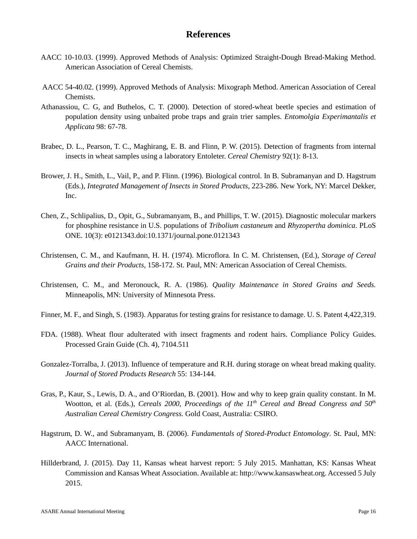# **References**

- AACC 10-10.03. (1999). Approved Methods of Analysis: Optimized Straight-Dough Bread-Making Method. American Association of Cereal Chemists.
- AACC 54-40.02. (1999). Approved Methods of Analysis: Mixograph Method. American Association of Cereal Chemists.
- Athanassiou, C. G, and Buthelos, C. T. (2000). Detection of stored-wheat beetle species and estimation of population density using unbaited probe traps and grain trier samples. *Entomolgia Experimantalis et Applicata* 98: 67-78.
- Brabec, D. L., Pearson, T. C., Maghirang, E. B. and Flinn, P. W. (2015). Detection of fragments from internal insects in wheat samples using a laboratory Entoleter. *Cereal Chemistry* 92(1): 8-13.
- Brower, J. H., Smith, L., Vail, P., and P. Flinn. (1996). Biological control. In B. Subramanyan and D. Hagstrum (Eds.), *Integrated Management of Insects in Stored Products,* 223-286. New York, NY: Marcel Dekker, Inc.
- Chen, Z., Schlipalius, D., Opit, G., Subramanyam, B., and Phillips, T. W. (2015). Diagnostic molecular markers for phosphine resistance in U.S. populations of *Tribolium castaneum* and *Rhyzopertha dominica*. PLoS ONE. 10(3): e0121343.doi:10.1371/journal.pone.0121343
- Christensen, C. M., and Kaufmann, H. H. (1974). Microflora. In C. M. Christensen, (Ed.), *Storage of Cereal Grains and their Products,* 158-172. St. Paul, MN: American Association of Cereal Chemists.
- Christensen, C. M., and Meronouck, R. A. (1986). *Quality Maintenance in Stored Grains and Seeds.* Minneapolis, MN: University of Minnesota Press.
- Finner, M. F., and Singh, S. (1983). Apparatus for testing grains for resistance to damage. U. S. Patent 4,422,319.
- FDA. (1988). Wheat flour adulterated with insect fragments and rodent hairs. Compliance Policy Guides. Processed Grain Guide (Ch. 4), 7104.511
- Gonzalez-Torralba, J. (2013). Influence of temperature and R.H. during storage on wheat bread making quality. *Journal of Stored Products Research* 55: 134-144.
- Gras, P., Kaur, S., Lewis, D. A., and O'Riordan, B. (2001). How and why to keep grain quality constant. In M. Wootton, et al. (Eds.), *Cereals 2000, Proceedings of the 11<sup>th</sup> Cereal and Bread Congress and 50<sup>th</sup> Australian Cereal Chemistry Congress.* Gold Coast, Australia: CSIRO.
- Hagstrum, D. W., and Subramanyam, B. (2006). *Fundamentals of Stored-Product Entomology*. St. Paul, MN: AACC International.
- Hillderbrand, J. (2015). Day 11, Kansas wheat harvest report: 5 July 2015. Manhattan, KS: Kansas Wheat Commission and Kansas Wheat Association. Available at: http://www.kansaswheat.org. Accessed 5 July 2015.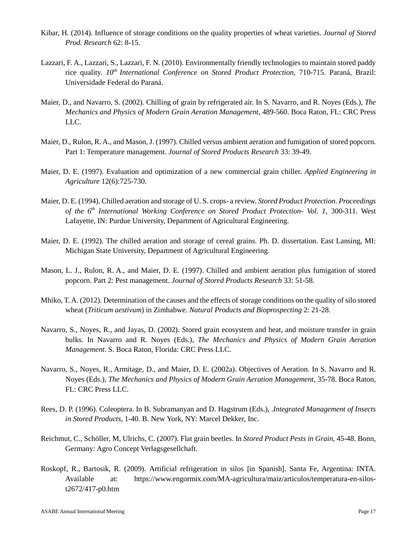- Kibar, H. (2014). Influence of storage conditions on the quality properties of wheat varieties. *Journal of Stored Prod. Research* 62: 8-15.
- Lazzari, F. A., Lazzari, S., Lazzari, F. N. (2010). Environmentally friendly technologies to maintain stored paddy rice quality. *10th International Conference on Stored Product Protection*, 710-715. Paraná, Brazil: Universidade Federal do Paraná.
- Maier, D., and Navarro, S. (2002). Chilling of grain by refrigerated air. In S. Navarro, and R. Noyes (Eds.), *The Mechanics and Physics of Modern Grain Aeration Management*, 489-560. Boca Raton, FL: CRC Press LLC.
- Maier, D., Rulon, R. A., and Mason, J. (1997). Chilled versus ambient aeration and fumigation of stored popcorn. Part 1: Temperature management. *Journal of Stored Products Research* 33: 39-49.
- Maier, D. E. (1997). Evaluation and optimization of a new commercial grain chiller. *Applied Engineering in Agriculture* 12(6):725-730.
- Maier, D. E. (1994). Chilled aeration and storage of U. S. crops- a review. *Stored Product Protection. Proceedings of the 6th International Working Conference on Stored Product Protection- Vol. 1,* 300-311. West Lafayette, IN: Purdue University, Department of Agricultural Engineering.
- Maier, D. E. (1992). The chilled aeration and storage of cereal grains. Ph. D. dissertation. East Lansing, MI: Michigan State University, Department of Agricultural Engineering.
- Mason, L. J., Rulon, R. A., and Maier, D. E. (1997). Chilled and ambient aeration plus fumigation of stored popcorn. Part 2: Pest management. *Journal of Stored Products Research* 33: 51-58.
- Mhiko, T. A. (2012). Determination of the causes and the effects of storage conditions on the quality of silo stored wheat (*Triticum aestivum*) in Zimbabwe. *Natural Products and Bioprospecting* 2: 21-28.
- Navarro, S., Noyes, R., and Jayas, D. (2002). Stored grain ecosystem and heat, and moisture transfer in grain bulks. In Navarro and R. Noyes (Eds.), *The Mechanics and Physics of Modern Grain Aeration Management*. S. Boca Raton, Florida: CRC Press LLC.
- Navarro, S., Noyes, R., Armitage, D., and Maier, D. E. (2002a). Objectives of Aeration. In S. Navarro and R. Noyes (Eds.), *The Mechanics and Physics of Modern Grain Aeration Management*, 35-78. Boca Raton, FL: CRC Press LLC.
- Rees, D. P. (1996). Coleoptera. In B. Subramanyan and D. Hagstrum (Eds.), .*Integrated Management of Insects in Stored Products,* 1-40. B. New York, NY: Marcel Dekker, Inc.
- Reichmut, C., Schöller, M, Ulrichs, C. (2007). Flat grain beetles. In *Stored Product Pests in Grain*, 45-48. Bonn, Germany: Agro Concept Verlagsgesellchaft.
- Roskopf, R., Bartosik, R. (2009). Artificial refrigeration in silos [in Spanish]. Santa Fe, Argentina: INTA. Available at: https://www.engormix.com/MA-agricultura/maiz/articulos/temperatura-en-silost2672/417-p0.htm